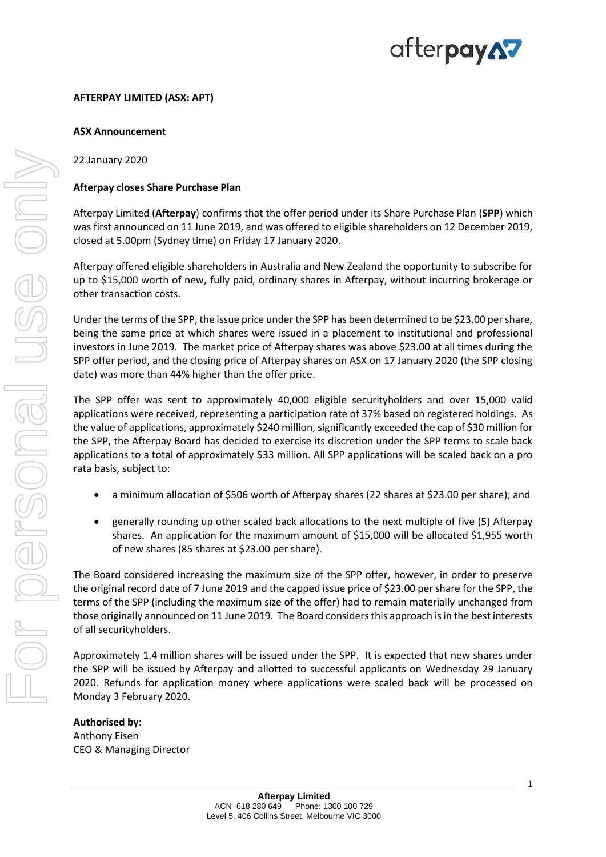# afterpayA7

#### **ASX Announcement**

22 January 2020

### **Afterpay closes Share Purchase Plan**

Afterpay Limited (**Afterpay**) confirms that the offer period under its Share Purchase Plan (**SPP**) which was first announced on 11 June 2019, and was offered to eligible shareholders on 12 December 2019, closed at 5.00pm (Sydney time) on Friday 17 January 2020.

Afterpay offered eligible shareholders in Australia and New Zealand the opportunity to subscribe for up to \$15,000 worth of new, fully paid, ordinary shares in Afterpay, without incurring brokerage or other transaction costs.

Under the terms of the SPP, the issue price under the SPP has been determined to be \$23.00 per share, being the same price at which shares were issued in a placement to institutional and professional investors in June 2019. The market price of Afterpay shares was above \$23.00 at all times during the SPP offer period, and the closing price of Afterpay shares on ASX on 17 January 2020 (the SPP closing date) was more than 44% higher than the offer price.

The SPP offer was sent to approximately 40,000 eligible securityholders and over 15,000 valid applications were received, representing a participation rate of 37% based on registered holdings. As the value of applications, approximately \$240 million, significantly exceeded the cap of \$30 million for the SPP, the Afterpay Board has decided to exercise its discretion under the SPP terms to scale back applications to a total of approximately \$33 million. All SPP applications will be scaled back on a pro rata basis, subject to:

- a minimum allocation of \$506 worth of Afterpay shares (22 shares at \$23.00 per share); and
- generally rounding up other scaled back allocations to the next multiple of five (5) Afterpay shares. An application for the maximum amount of \$15,000 will be allocated \$1,955 worth of new shares (85 shares at \$23.00 per share).

The Board considered increasing the maximum size of the SPP offer, however, in order to preserve the original record date of 7 June 2019 and the capped issue price of \$23.00 per share for the SPP, the terms of the SPP (including the maximum size of the offer) had to remain materially unchanged from those originally announced on 11 June 2019. The Board considersthis approach is in the best interests of all securityholders.

Approximately 1.4 million shares will be issued under the SPP. It is expected that new shares under the SPP will be issued by Afterpay and allotted to successful applicants on Wednesday 29 January 2020. Refunds for application money where applications were scaled back will be processed on Monday 3 February 2020.

### **Authorised by:**

Anthony Eisen CEO & Managing Director